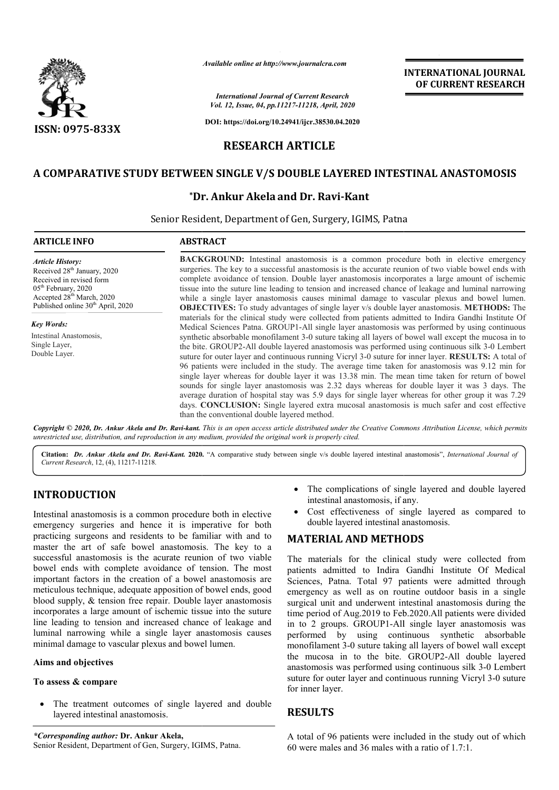

*Available online at http://www.journalcra.com*

*International Journal of Current Research Vol. 12, Issue, 04, pp.11217-11218, April, 2020*

**DOI: https://doi.org/10.24941/ijcr.38530.04.2020**

## **RESEARCH ARTICLE**

## **A COMPARATIVE STUDY BETWEEN SINGLE V/S DOUBLE LAYERED INTESTINAL ANASTOMOSIS STUDY BETWEEN**

### **\*Dr. Ankur Akela Dr. and Dr. Ravi-Kant**

Senior Resident, Department of Gen, Surgery, IGIMS, Patna

# **ARTICLE INFO ABSTRACT BACKGROUND:** Intestinal anastomosis is a common procedure both in elective emergency surgeries. The key to a successful anastomosis is the accurate reunion of two viable bowel ends with **BACKGROUND:** Intestinal anastomosis is a common procedure both in elective emergency surgeries. The key to a successful anastomosis is the accurate reunion of two viable bowel ends with complete avoidance of tension. Doub tissue into the suture line leading to tension and increased chance of leakage and luminal narrowing while a single layer anastomosis causes minimal damage to vascular plexus and bowel lumen. tissue into the suture line leading to tension and increased chance of leakage and luminal narrowing while a single layer anastomosis causes minimal damage to vascular plexus and bowel lumen.<br>**OBJECTIVES:** To study advanta materials for the clinical study were collected from patients admitted to Indira Gandhi Institute Of Medical Sciences Patna. GROUP1-All single layer anastomosis was performed by using continuous synthetic absorbable monofilament 3-0 suture taking all layers of bowel wall except the mucosa in to the bite. GROUP2 GROUP2-All double layered anastomosis was performed using continuous silk 3 suture for outer layer and continuous running Vicryl 3-0 suture for inner layer. **RESULTS:** A total of 96 patients were included in the study. The average time taken for anastomosis was 9.12 min for single layer whereas for double layer it was 13.38 min. The mean time taken for return of bowel sounds for single layer anastomosis was 2. 2.32 days whereas for double layer it was 3 days. The average duration of hospital stay was 5.9 days for single layer whereas for other group it was 7.29 days. **CONCLUSION:** Single layered extra mucosal anastomosis is much safer and cost effective than the conventional double layered method. *Article History:* Received 28<sup>th</sup> January, 2020 Received in revised form 05th February, 2020 Accepted 28th March, 2020 Published online 30<sup>th</sup> April, 2020 *Key Words:* Intestinal Anastomosis, Single Layer, Double Layer. materials for the clinical study were collected from patients admitted to Indira Gandhi Institute Of Medical Sciences Patna. GROUP1-All single layer anastomosis was performed by using continuous synthetic absorbable monofi 96 patients were included in the study. The average time taken for anastomosis was 9.12 min for single layer whereas for double layer it was 13.38 min. The mean time taken for return of bowel sounds for single layer anasto INTERNATIONAL JOURNAL<br> **ENGAL CONSERVATION CONSERVAT EXECUTE CONSERVAT CONSERVAT CONSERVAT CONSERVAT CONSERVAT CONSERVAT CONSERVAT CONSERVAT CONSERVATION CONSERVATION CONSERVATION CONSERVATION CONSERVATION CONSERVATION CON**

Copyright © 2020, Dr. Ankur Akela and Dr. Ravi-kant. This is an open access article distributed under the Creative Commons Attribution License, which permits *unrestricted use, distribution, and reproduction in any medium, provided the original work is properly cited.*

Citation: *Dr. Ankur Akela and Dr. Ravi-Kant.* 2020. "A comparative study between single v/s double layered intestinal anastomosis", *International Journal of Current Research*, 12, (4), 11217-11218.

## **INTRODUCTION**

Intestinal anastomosis is a common procedure both in elective emergency surgeries and hence it is imperative for both practicing surgeons and residents to be familiar with and to master the art of safe bowel anastomosis. The key to a successful anastomosis is the acurate reunion of two viable bowel ends with complete avoidance of tension. The most important factors in the creation of a bowel anastomosis are meticulous technique, adequate apposition of bowel ends, good blood supply, & tension free repair. Double layer anastomosis incorporates a large amount of ischemic tissue into the suture line leading to tension and increased chance of leakage and luminal narrowing while a single layer anastomosis causes minimal damage to vascular plexus and bowel lumen. on of bowel ends, good<br>suble layer anastomosis<br>c tissue into the suture<br>chance of leakage and<br>er anastomosis causes

#### **Aims and objectives**

#### **To assess & compare**

 The treatment outcomes of single layered and double layered intestinal anastomosis.

*\*Corresponding author:* **Dr. Ankur Akela,** Senior Resident, Department of Gen, Surgery, IGIMS, Patna.

- The complications of single layered and double layered intestinal anastomosis, if any.
- Cost effectiveness of single layered as compared to double layered intestinal anastomosis.

#### **MATERIAL AND METHODS**

The materials for the clinical study were collected from patients admitted to Indira Gandhi Institute Of Medical Sciences, Patna. Total 97 patients were admitted through emergency as well as on routine outdoor basis in a single surgical unit and underwent intestinal anastomosis during the time period of Aug.2019 to Feb.2020.All patients were divided in to 2 groups. GROUP1-All single layer anastomosis was performed by using continuous synthetic absorbable monofilament 3-0 suture taking all layers of bowel wall except the mucosa in to the bite. GROUP2-All double layered anastomosis was performed using continuous silk 3-0 Lembert suture for outer layer and continuous running Vicryl 3-0 suture for inner layer. • The complications of single layered and double layered intestinal anastomosis, if any.<br>• Cost effectiveness of single layered as compared to double layered intestinal anastomosis.<br>**MATERIAL AND METHODS**<br>The materials for period of Aug.2019 to Feb.2020.All patients were divided<br>
2 groups. GROUP1-All single layer anastomosis was<br>
rmed by using continuous synthetic absorbable<br>
ofilament 3-0 suture taking all layers of bowel wall except

#### **RESULTS**

A total of 96 patients were included in the study out of which 60 were males and 36 males with a ratio of 1.7:1.

## **INTERNATIONAL JOURNAL OF CURRENT RESEARCH**